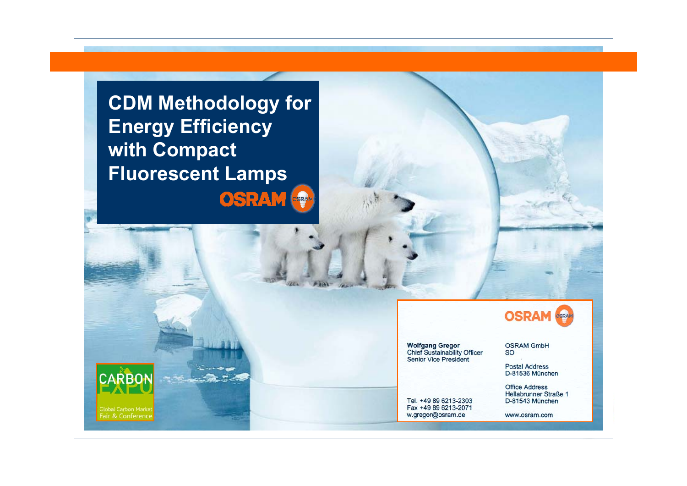**CDM Methodology for Energy Efficiency with Compact Fluorescent LampsOSRAM** 

> **Wolfgang Gregor Chief Sustainability Officer**<br>Senior Vice President

Tel. +49 89 6213-2303 Fax +49 89 6213-2071 w.gregor@osram.de

**OSRAM** 

**OSRAM GmbH SO** 

**Postal Address** D-81536 München

**Office Address** Hellabrunner Straße 1 D-81543 München

www.osram.com

**CARBON** 

Fair & Conference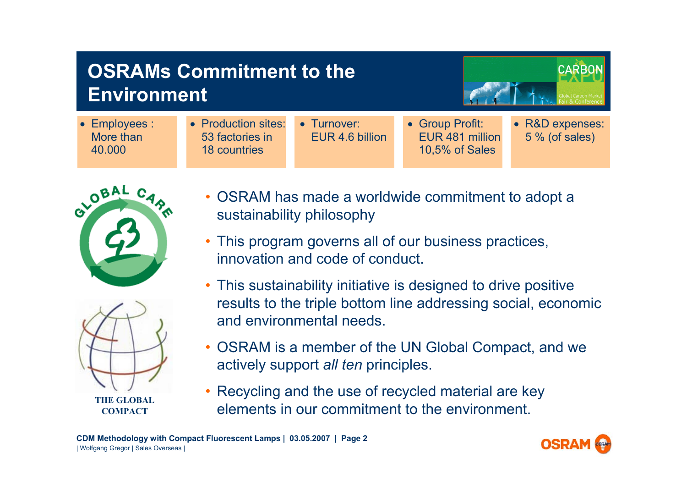| <b>OSRAMs Commitment to the</b><br><b>Environment</b> |                                                               |                                | <b>CARB</b>                                          |                                    |
|-------------------------------------------------------|---------------------------------------------------------------|--------------------------------|------------------------------------------------------|------------------------------------|
| • Employees :<br>More than<br>40.000                  | • Production sites:<br>53 factories in<br><b>18 countries</b> | • Turnover:<br>EUR 4.6 billion | • Group Profit:<br>EUR 481 million<br>10,5% of Sales | • R&D expenses:<br>$5%$ (of sales) |





**COMPACT**

- • OSRAM has made a worldwide commitment to adopt a sustainability philosophy
- This program governs all of our business practices, innovation and code of conduct.
- This sustainability initiative is designed to drive positive results to the triple bottom line addressing social, economic and environmental needs.
- OSRAM is a member of the UN Global Compact, and we actively support *all ten* principles.
- Recycling and the use of recycled material are key elements in our commitment to the environment.

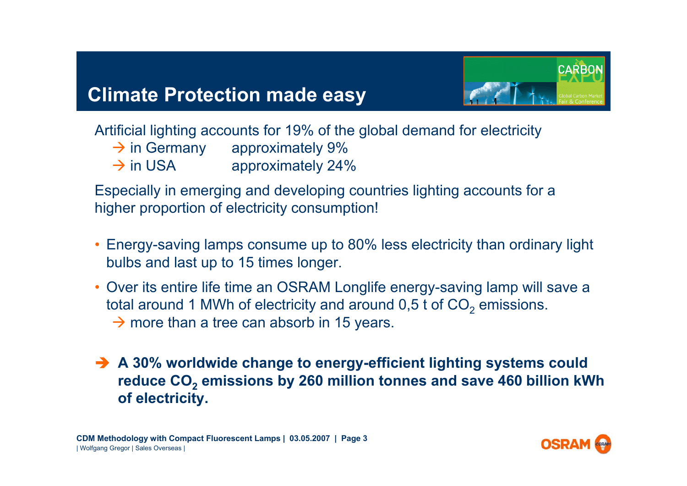## **Climate Protection made easy**



Artificial lighting accounts for 19% of the global demand for electricity

- $\rightarrow$  in Germany approximately 9%
- $\rightarrow$  in USA approximately 24%

Especially in emerging and developing countries lighting accounts for a higher proportion of electricity consumption!

- • Energy-saving lamps consume up to 80% less electricity than ordinary light bulbs and last up to 15 times longer.
- Over its entire life time an OSRAM Longlife energy-saving lamp will save a total around 1 MWh of electricity and around 0,5 t of CO $_2$  emissions.  $\rightarrow$  more than a tree can absorb in 15 years.
- **→ A 30% worldwide change to energy-efficient lighting systems could reduce CO2 emissions by 260 million tonnes and save 460 billion kWh of electricity.**

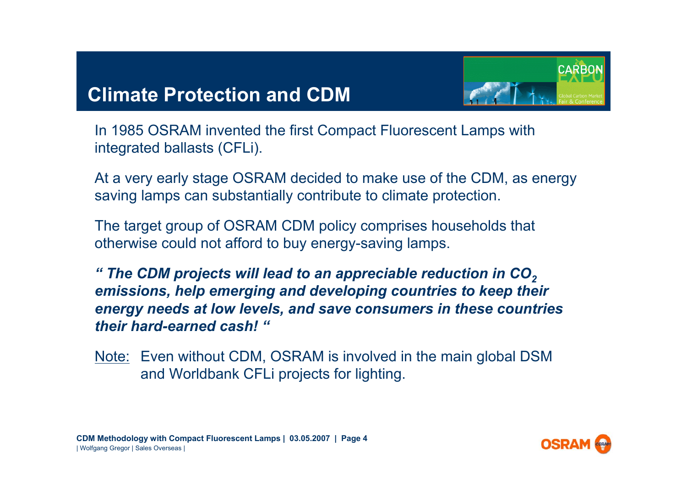## **Climate Protection and CDM**



In 1985 OSRAM invented the first Compact Fluorescent Lamps with integrated ballasts (CFLi).

At a very early stage OSRAM decided to make use of the CDM, as energy saving lamps can substantially contribute to climate protection.

The target group of OSRAM CDM policy comprises households that otherwise could not afford to buy energy-saving lamps.

*" The CDM projects will lead to an appreciable reduction in CO2emissions, help emerging and developing countries to keep their energy needs at low levels, and save consumers in these countries their hard-earned cash! "*

Note: Even without CDM, OSRAM is involved in the main global DSM and Worldbank CFLi projects for lighting.

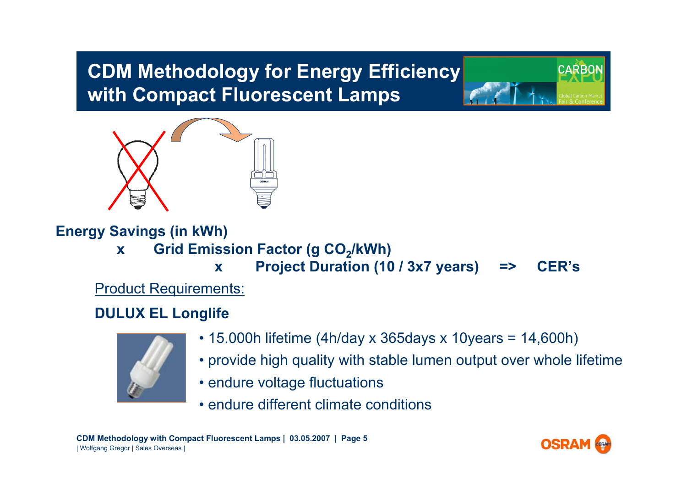# **CDM Methodology for Energy Efficiency with Compact Fluorescent Lamps**



**Energy Savings (in kWh) x** Grid Emission Factor (g CO<sub>2</sub>/kWh) **x Project Duration (10 / 3x7 years) => CER's** Product Requirements:

#### **DULUX EL Longlife**



- 15.000h lifetime (4h/day x 365days x 10years = 14,600h)
- provide high quality with stable lumen output over whole lifetime
- endure voltage fluctuations
- endure different climate conditions

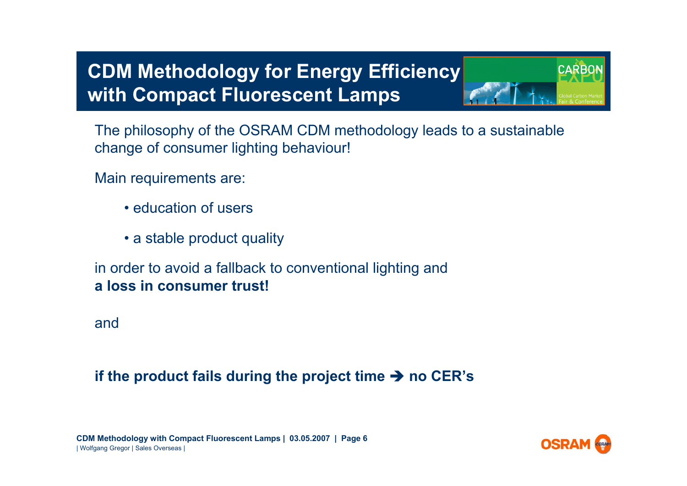# **CDM Methodology for Energy Efficiency with Compact Fluorescent Lamps**

The philosophy of the OSRAM CDM methodology leads to a sustainable change of consumer lighting behaviour!

Main requirements are:

- education of users
- a stable product quality

in order to avoid a fallback to conventional lighting and **a loss in consumer trust!**

and

#### **if the product fails during the project time**  $\rightarrow$  **no CER's**

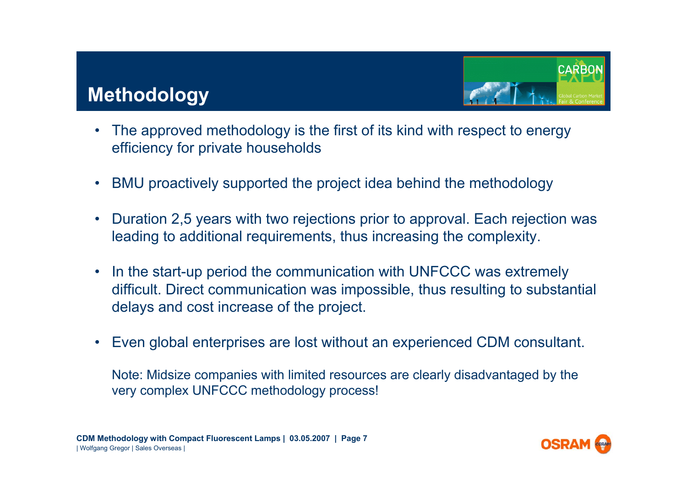## **Methodology**



- • The approved methodology is the first of its kind with respect to energy efficiency for private households
- $\bullet$ BMU proactively supported the project idea behind the methodology
- • Duration 2,5 years with two rejections prior to approval. Each rejection was leading to additional requirements, thus increasing the complexity.
- • In the start-up period the communication with UNFCCC was extremely difficult. Direct communication was impossible, thus resulting to substantial delays and cost increase of the project.
- •Even global enterprises are lost without an experienced CDM consultant.

Note: Midsize companies with limited resources are clearly disadvantaged by the very complex UNFCCC methodology process!

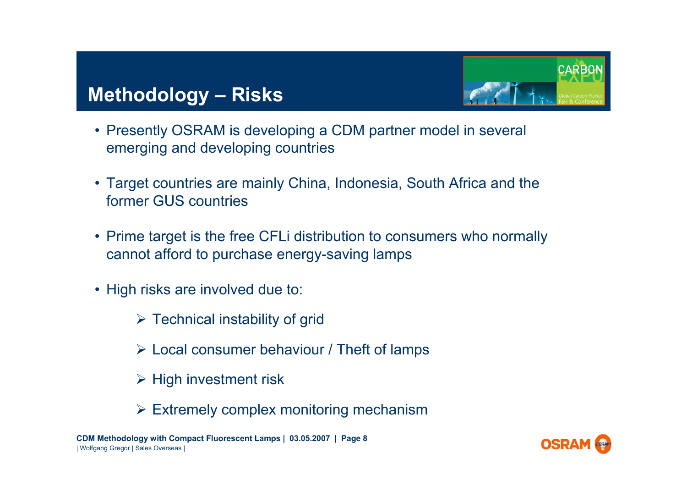## **Methodology – Risks**



- Presently OSRAM is developing a CDM partner model in several emerging and developing countries
- Target countries are mainly China, Indonesia, South Africa and the former GUS countries
- Prime target is the free CFLi distribution to consumers who normally cannot afford to purchase energy-saving lamps
- High risks are involved due to:
	- $\triangleright$  Technical instability of grid
	- $\triangleright$  Local consumer behaviour / Theft of lamps
	- $\triangleright$  High investment risk
	- $\triangleright$  Extremely complex monitoring mechanism